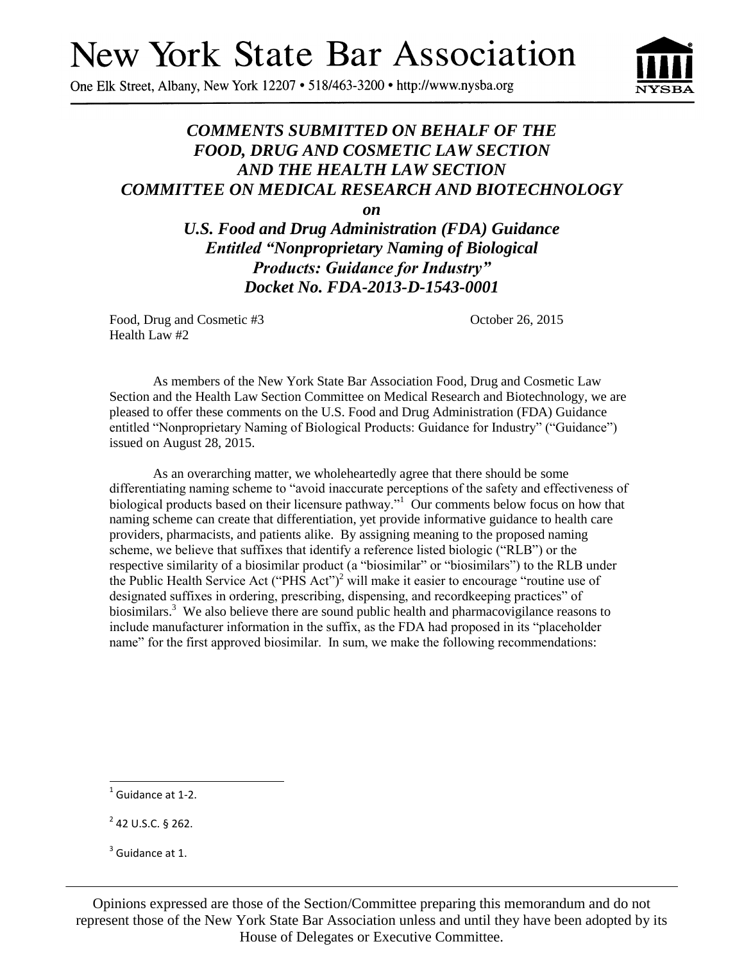# **New York State Bar Association**

One Elk Street, Albany, New York 12207 • 518/463-3200 • http://www.nysba.org



## *COMMENTS SUBMITTED ON BEHALF OF THE FOOD, DRUG AND COSMETIC LAW SECTION AND THE HEALTH LAW SECTION COMMITTEE ON MEDICAL RESEARCH AND BIOTECHNOLOGY*

*on*

*U.S. Food and Drug Administration (FDA) Guidance Entitled "Nonproprietary Naming of Biological Products: Guidance for Industry" Docket No. FDA-2013-D-1543-0001*

Food, Drug and Cosmetic #3 October 26, 2015 Health Law #2

As members of the New York State Bar Association Food, Drug and Cosmetic Law Section and the Health Law Section Committee on Medical Research and Biotechnology, we are pleased to offer these comments on the U.S. Food and Drug Administration (FDA) Guidance entitled "Nonproprietary Naming of Biological Products: Guidance for Industry" ("Guidance") issued on August 28, 2015.

As an overarching matter, we wholeheartedly agree that there should be some differentiating naming scheme to "avoid inaccurate perceptions of the safety and effectiveness of biological products based on their licensure pathway."<sup>1</sup> Our comments below focus on how that naming scheme can create that differentiation, yet provide informative guidance to health care providers, pharmacists, and patients alike. By assigning meaning to the proposed naming scheme, we believe that suffixes that identify a reference listed biologic ("RLB") or the respective similarity of a biosimilar product (a "biosimilar" or "biosimilars") to the RLB under the Public Health Service Act ("PHS Act")<sup>2</sup> will make it easier to encourage "routine use of designated suffixes in ordering, prescribing, dispensing, and recordkeeping practices" of biosimilars.<sup>3</sup> We also believe there are sound public health and pharmacovigilance reasons to include manufacturer information in the suffix, as the FDA had proposed in its "placeholder name" for the first approved biosimilar. In sum, we make the following recommendations:

 $\overline{a}$ 

Opinions expressed are those of the Section/Committee preparing this memorandum and do not represent those of the New York State Bar Association unless and until they have been adopted by its House of Delegates or Executive Committee.

 $<sup>1</sup>$  Guidance at 1-2.</sup>

 $2$  42 U.S.C. § 262.

 $3$  Guidance at 1.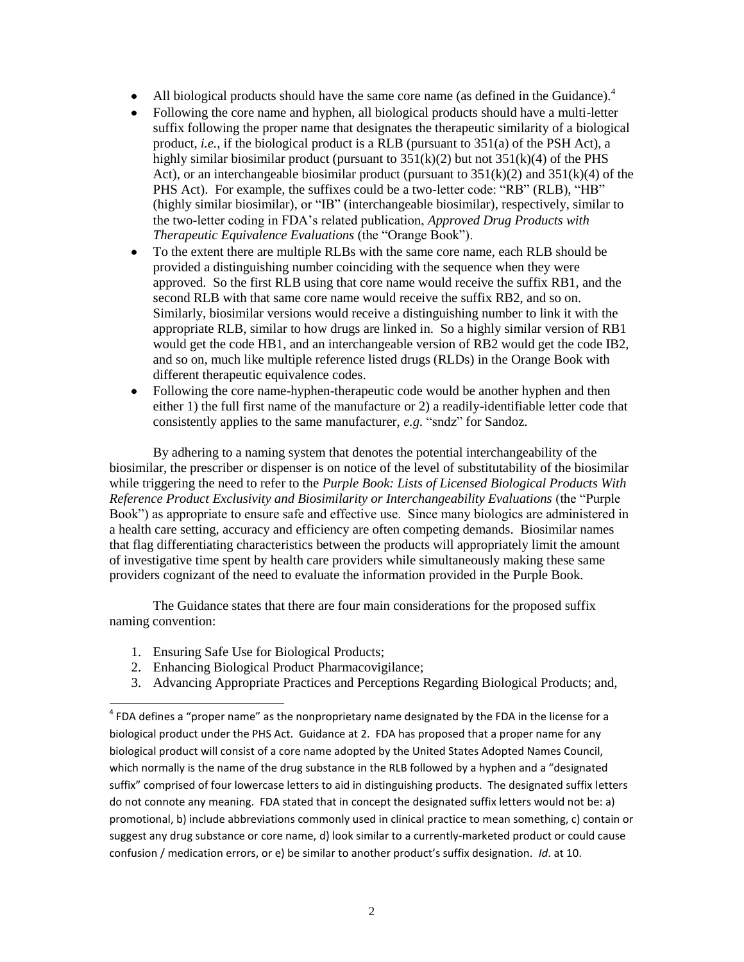- All biological products should have the same core name (as defined in the Guidance). $4\overline{ }$
- Following the core name and hyphen, all biological products should have a multi-letter suffix following the proper name that designates the therapeutic similarity of a biological product, *i.e.*, if the biological product is a RLB (pursuant to 351(a) of the PSH Act), a highly similar biosimilar product (pursuant to  $351(k)(2)$  but not  $351(k)(4)$  of the PHS Act), or an interchangeable biosimilar product (pursuant to  $351(k)(2)$  and  $351(k)(4)$  of the PHS Act). For example, the suffixes could be a two-letter code: "RB" (RLB), "HB" (highly similar biosimilar), or "IB" (interchangeable biosimilar), respectively, similar to the two-letter coding in FDA's related publication, *Approved Drug Products with Therapeutic Equivalence Evaluations* (the "Orange Book").
- To the extent there are multiple RLBs with the same core name, each RLB should be  $\bullet$ provided a distinguishing number coinciding with the sequence when they were approved. So the first RLB using that core name would receive the suffix RB1, and the second RLB with that same core name would receive the suffix RB2, and so on. Similarly, biosimilar versions would receive a distinguishing number to link it with the appropriate RLB, similar to how drugs are linked in. So a highly similar version of RB1 would get the code HB1, and an interchangeable version of RB2 would get the code IB2, and so on, much like multiple reference listed drugs (RLDs) in the Orange Book with different therapeutic equivalence codes.
- Following the core name-hyphen-therapeutic code would be another hyphen and then either 1) the full first name of the manufacture or 2) a readily-identifiable letter code that consistently applies to the same manufacturer, *e.g.* "sndz" for Sandoz.

By adhering to a naming system that denotes the potential interchangeability of the biosimilar, the prescriber or dispenser is on notice of the level of substitutability of the biosimilar while triggering the need to refer to the *Purple Book: Lists of Licensed Biological Products With Reference Product Exclusivity and Biosimilarity or Interchangeability Evaluations* (the "Purple Book") as appropriate to ensure safe and effective use. Since many biologics are administered in a health care setting, accuracy and efficiency are often competing demands. Biosimilar names that flag differentiating characteristics between the products will appropriately limit the amount of investigative time spent by health care providers while simultaneously making these same providers cognizant of the need to evaluate the information provided in the Purple Book.

The Guidance states that there are four main considerations for the proposed suffix naming convention:

1. Ensuring Safe Use for Biological Products;

 $\overline{a}$ 

- 2. Enhancing Biological Product Pharmacovigilance;
- 3. Advancing Appropriate Practices and Perceptions Regarding Biological Products; and,

 $^4$  FDA defines a "proper name" as the nonproprietary name designated by the FDA in the license for a biological product under the PHS Act. Guidance at 2. FDA has proposed that a proper name for any biological product will consist of a core name adopted by the United States Adopted Names Council, which normally is the name of the drug substance in the RLB followed by a hyphen and a "designated suffix" comprised of four lowercase letters to aid in distinguishing products. The designated suffix letters do not connote any meaning. FDA stated that in concept the designated suffix letters would not be: a) promotional, b) include abbreviations commonly used in clinical practice to mean something, c) contain or suggest any drug substance or core name, d) look similar to a currently-marketed product or could cause confusion / medication errors, or e) be similar to another product's suffix designation. *Id*. at 10.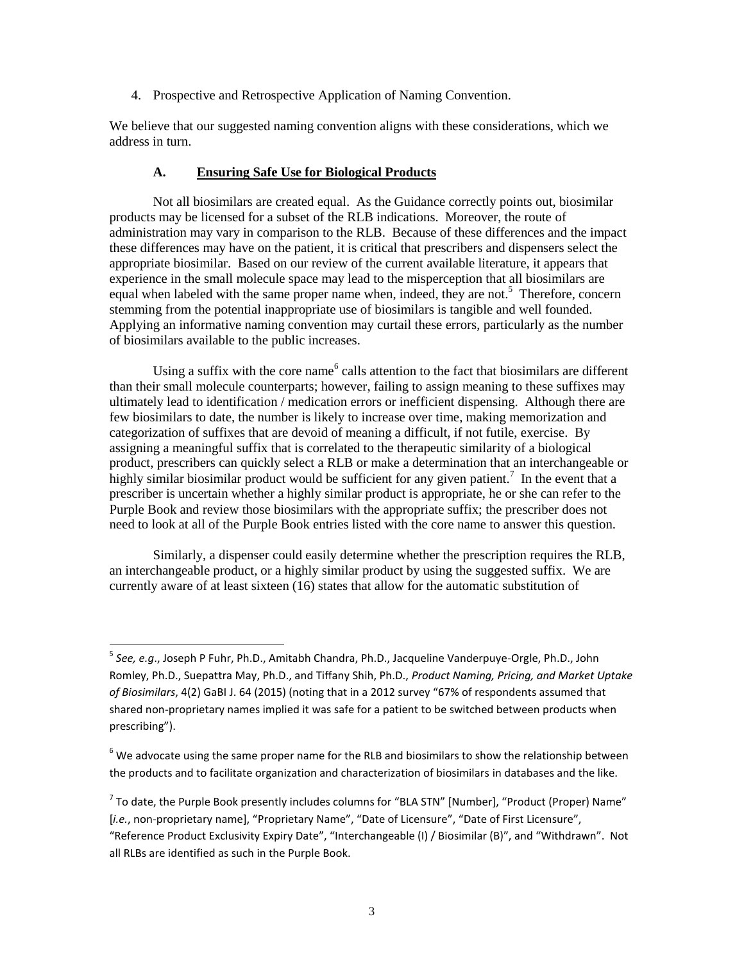4. Prospective and Retrospective Application of Naming Convention.

We believe that our suggested naming convention aligns with these considerations, which we address in turn.

#### **A. Ensuring Safe Use for Biological Products**

Not all biosimilars are created equal. As the Guidance correctly points out, biosimilar products may be licensed for a subset of the RLB indications. Moreover, the route of administration may vary in comparison to the RLB. Because of these differences and the impact these differences may have on the patient, it is critical that prescribers and dispensers select the appropriate biosimilar. Based on our review of the current available literature, it appears that experience in the small molecule space may lead to the misperception that all biosimilars are equal when labeled with the same proper name when, indeed, they are not.<sup>5</sup> Therefore, concern stemming from the potential inappropriate use of biosimilars is tangible and well founded. Applying an informative naming convention may curtail these errors, particularly as the number of biosimilars available to the public increases.

Using a suffix with the core name<sup>6</sup> calls attention to the fact that biosimilars are different than their small molecule counterparts; however, failing to assign meaning to these suffixes may ultimately lead to identification / medication errors or inefficient dispensing. Although there are few biosimilars to date, the number is likely to increase over time, making memorization and categorization of suffixes that are devoid of meaning a difficult, if not futile, exercise. By assigning a meaningful suffix that is correlated to the therapeutic similarity of a biological product, prescribers can quickly select a RLB or make a determination that an interchangeable or highly similar biosimilar product would be sufficient for any given patient.<sup>7</sup> In the event that a prescriber is uncertain whether a highly similar product is appropriate, he or she can refer to the Purple Book and review those biosimilars with the appropriate suffix; the prescriber does not need to look at all of the Purple Book entries listed with the core name to answer this question.

Similarly, a dispenser could easily determine whether the prescription requires the RLB, an interchangeable product, or a highly similar product by using the suggested suffix. We are currently aware of at least sixteen (16) states that allow for the automatic substitution of

 5 *See, e.g*., Joseph P Fuhr, Ph.D., Amitabh Chandra, Ph.D., Jacqueline Vanderpuye-Orgle, Ph.D., John Romley, Ph.D., Suepattra May, Ph.D., and Tiffany Shih, Ph.D., *Product Naming, Pricing, and Market Uptake of Biosimilars*, 4(2) GaBI J. 64 (2015) (noting that in a 2012 survey "67% of respondents assumed that shared non-proprietary names implied it was safe for a patient to be switched between products when prescribing").

 $6$  We advocate using the same proper name for the RLB and biosimilars to show the relationship between the products and to facilitate organization and characterization of biosimilars in databases and the like.

 $^7$  To date, the Purple Book presently includes columns for "BLA STN" [Number], "Product (Proper) Name" [*i.e.*, non-proprietary name], "Proprietary Name", "Date of Licensure", "Date of First Licensure", "Reference Product Exclusivity Expiry Date", "Interchangeable (I) / Biosimilar (B)", and "Withdrawn". Not all RLBs are identified as such in the Purple Book.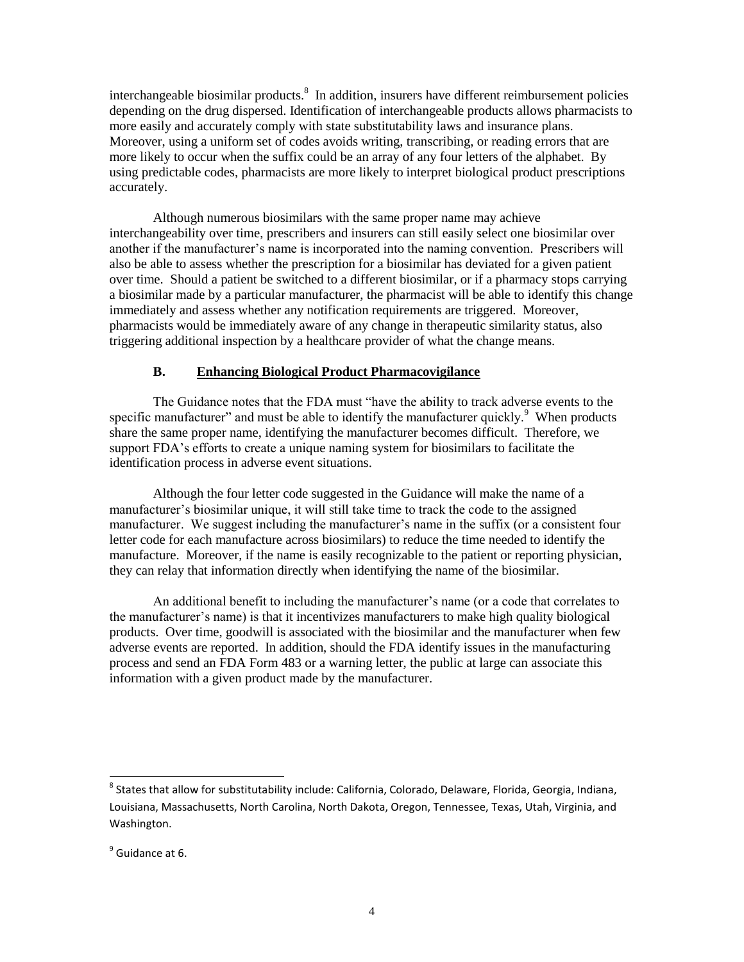interchangeable biosimilar products.<sup>8</sup> In addition, insurers have different reimbursement policies depending on the drug dispersed. Identification of interchangeable products allows pharmacists to more easily and accurately comply with state substitutability laws and insurance plans. Moreover, using a uniform set of codes avoids writing, transcribing, or reading errors that are more likely to occur when the suffix could be an array of any four letters of the alphabet. By using predictable codes, pharmacists are more likely to interpret biological product prescriptions accurately.

Although numerous biosimilars with the same proper name may achieve interchangeability over time, prescribers and insurers can still easily select one biosimilar over another if the manufacturer's name is incorporated into the naming convention. Prescribers will also be able to assess whether the prescription for a biosimilar has deviated for a given patient over time. Should a patient be switched to a different biosimilar, or if a pharmacy stops carrying a biosimilar made by a particular manufacturer, the pharmacist will be able to identify this change immediately and assess whether any notification requirements are triggered. Moreover, pharmacists would be immediately aware of any change in therapeutic similarity status, also triggering additional inspection by a healthcare provider of what the change means.

#### **B. Enhancing Biological Product Pharmacovigilance**

The Guidance notes that the FDA must "have the ability to track adverse events to the specific manufacturer" and must be able to identify the manufacturer quickly.<sup>9</sup> When products share the same proper name, identifying the manufacturer becomes difficult. Therefore, we support FDA's efforts to create a unique naming system for biosimilars to facilitate the identification process in adverse event situations.

Although the four letter code suggested in the Guidance will make the name of a manufacturer's biosimilar unique, it will still take time to track the code to the assigned manufacturer. We suggest including the manufacturer's name in the suffix (or a consistent four letter code for each manufacture across biosimilars) to reduce the time needed to identify the manufacture. Moreover, if the name is easily recognizable to the patient or reporting physician, they can relay that information directly when identifying the name of the biosimilar.

An additional benefit to including the manufacturer's name (or a code that correlates to the manufacturer's name) is that it incentivizes manufacturers to make high quality biological products. Over time, goodwill is associated with the biosimilar and the manufacturer when few adverse events are reported. In addition, should the FDA identify issues in the manufacturing process and send an FDA Form 483 or a warning letter, the public at large can associate this information with a given product made by the manufacturer.

 $\overline{a}$ 

 $^8$  States that allow for substitutability include: California, Colorado, Delaware, Florida, Georgia, Indiana, Louisiana, Massachusetts, North Carolina, North Dakota, Oregon, Tennessee, Texas, Utah, Virginia, and Washington.

<sup>&</sup>lt;sup>9</sup> Guidance at 6.